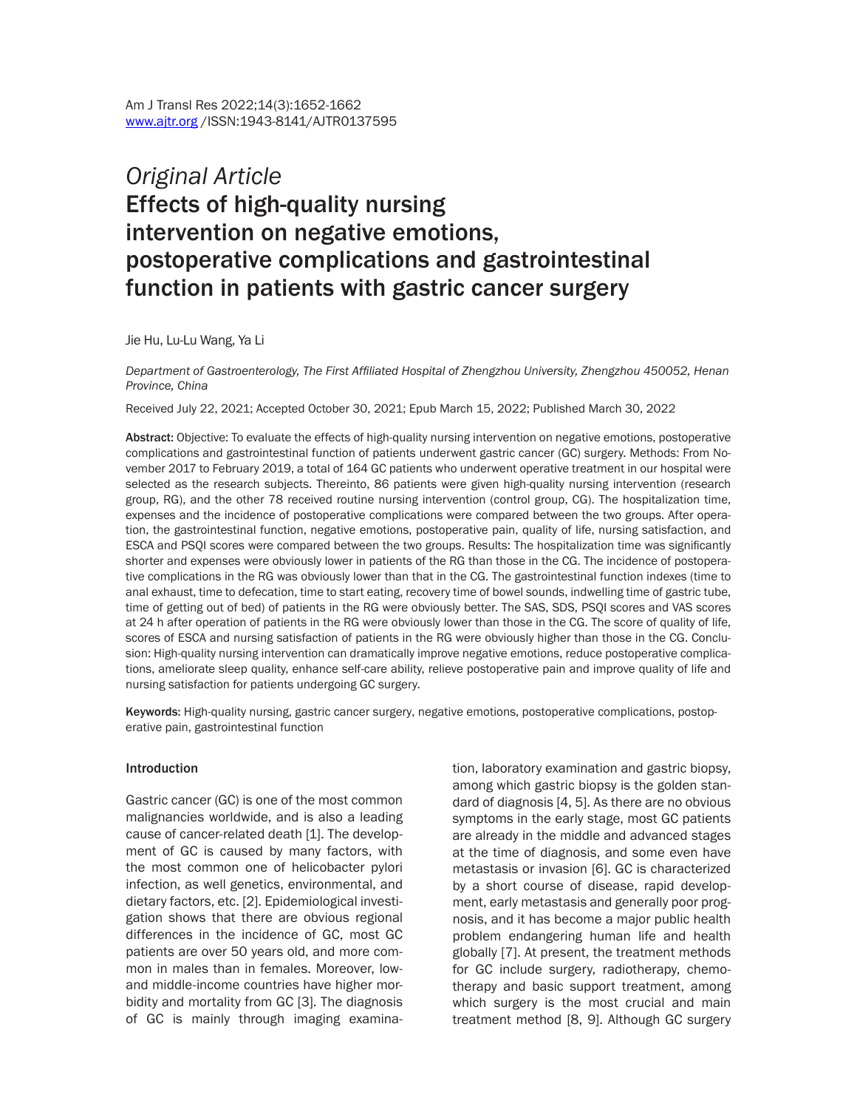# *Original Article* Effects of high-quality nursing intervention on negative emotions, postoperative complications and gastrointestinal function in patients with gastric cancer surgery

Jie Hu, Lu-Lu Wang, Ya Li

*Department of Gastroenterology, The First Affiliated Hospital of Zhengzhou University, Zhengzhou 450052, Henan Province, China*

Received July 22, 2021; Accepted October 30, 2021; Epub March 15, 2022; Published March 30, 2022

Abstract: Objective: To evaluate the effects of high-quality nursing intervention on negative emotions, postoperative complications and gastrointestinal function of patients underwent gastric cancer (GC) surgery. Methods: From November 2017 to February 2019, a total of 164 GC patients who underwent operative treatment in our hospital were selected as the research subjects. Thereinto, 86 patients were given high-quality nursing intervention (research group, RG), and the other 78 received routine nursing intervention (control group, CG). The hospitalization time, expenses and the incidence of postoperative complications were compared between the two groups. After operation, the gastrointestinal function, negative emotions, postoperative pain, quality of life, nursing satisfaction, and ESCA and PSQI scores were compared between the two groups. Results: The hospitalization time was significantly shorter and expenses were obviously lower in patients of the RG than those in the CG. The incidence of postoperative complications in the RG was obviously lower than that in the CG. The gastrointestinal function indexes (time to anal exhaust, time to defecation, time to start eating, recovery time of bowel sounds, indwelling time of gastric tube, time of getting out of bed) of patients in the RG were obviously better. The SAS, SDS, PSQI scores and VAS scores at 24 h after operation of patients in the RG were obviously lower than those in the CG. The score of quality of life, scores of ESCA and nursing satisfaction of patients in the RG were obviously higher than those in the CG. Conclusion: High-quality nursing intervention can dramatically improve negative emotions, reduce postoperative complications, ameliorate sleep quality, enhance self-care ability, relieve postoperative pain and improve quality of life and nursing satisfaction for patients undergoing GC surgery.

Keywords: High-quality nursing, gastric cancer surgery, negative emotions, postoperative complications, postoperative pain, gastrointestinal function

#### Introduction

Gastric cancer (GC) is one of the most common malignancies worldwide, and is also a leading cause of cancer-related death [1]. The development of GC is caused by many factors, with the most common one of helicobacter pylori infection, as well genetics, environmental, and dietary factors, etc. [2]. Epidemiological investigation shows that there are obvious regional differences in the incidence of GC, most GC patients are over 50 years old, and more common in males than in females. Moreover, lowand middle-income countries have higher morbidity and mortality from GC [3]. The diagnosis of GC is mainly through imaging examination, laboratory examination and gastric biopsy, among which gastric biopsy is the golden standard of diagnosis [4, 5]. As there are no obvious symptoms in the early stage, most GC patients are already in the middle and advanced stages at the time of diagnosis, and some even have metastasis or invasion [6]. GC is characterized by a short course of disease, rapid development, early metastasis and generally poor prognosis, and it has become a major public health problem endangering human life and health globally [7]. At present, the treatment methods for GC include surgery, radiotherapy, chemotherapy and basic support treatment, among which surgery is the most crucial and main treatment method [8, 9]. Although GC surgery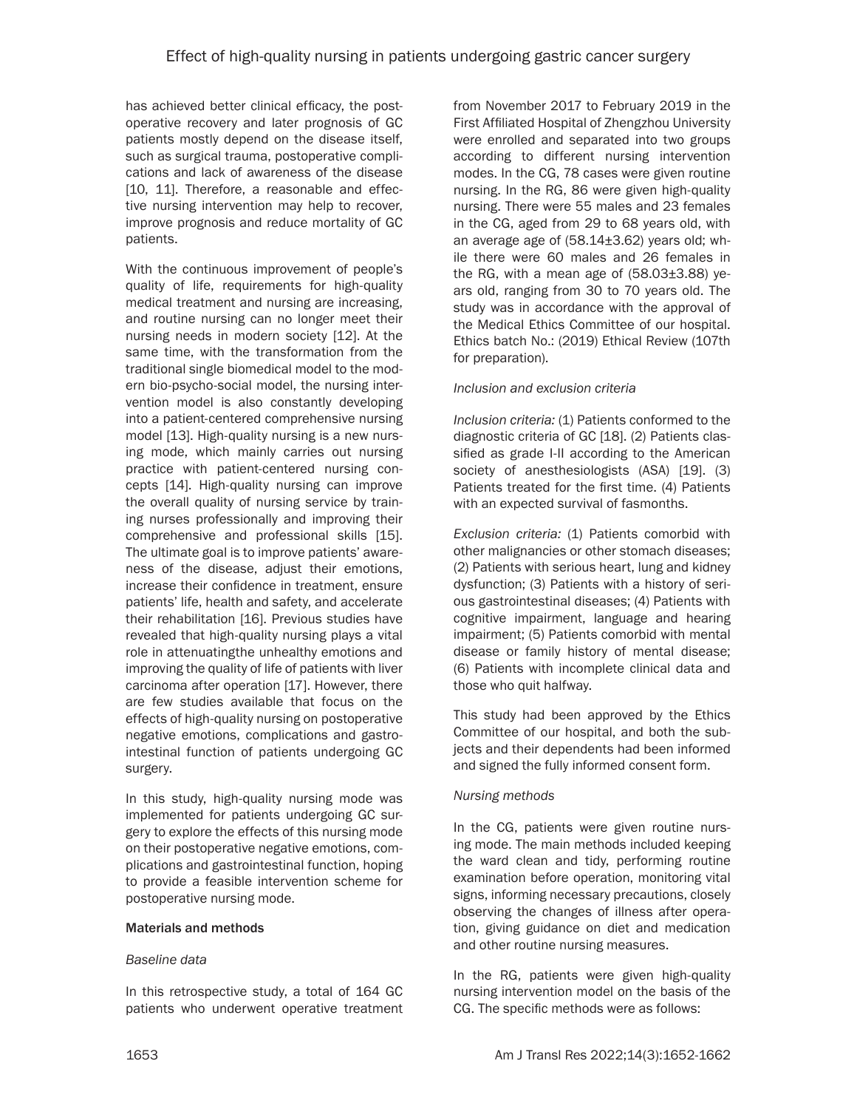has achieved better clinical efficacy, the postoperative recovery and later prognosis of GC patients mostly depend on the disease itself, such as surgical trauma, postoperative complications and lack of awareness of the disease [10, 11]. Therefore, a reasonable and effective nursing intervention may help to recover, improve prognosis and reduce mortality of GC patients.

With the continuous improvement of people's quality of life, requirements for high-quality medical treatment and nursing are increasing, and routine nursing can no longer meet their nursing needs in modern society [12]. At the same time, with the transformation from the traditional single biomedical model to the modern bio-psycho-social model, the nursing intervention model is also constantly developing into a patient-centered comprehensive nursing model [13]. High-quality nursing is a new nursing mode, which mainly carries out nursing practice with patient-centered nursing concepts [14]. High-quality nursing can improve the overall quality of nursing service by training nurses professionally and improving their comprehensive and professional skills [15]. The ultimate goal is to improve patients' awareness of the disease, adjust their emotions, increase their confidence in treatment, ensure patients' life, health and safety, and accelerate their rehabilitation [16]. Previous studies have revealed that high-quality nursing plays a vital role in attenuatingthe unhealthy emotions and improving the quality of life of patients with liver carcinoma after operation [17]. However, there are few studies available that focus on the effects of high-quality nursing on postoperative negative emotions, complications and gastrointestinal function of patients undergoing GC surgery.

In this study, high-quality nursing mode was implemented for patients undergoing GC surgery to explore the effects of this nursing mode on their postoperative negative emotions, complications and gastrointestinal function, hoping to provide a feasible intervention scheme for postoperative nursing mode.

#### Materials and methods

#### *Baseline data*

In this retrospective study, a total of 164 GC patients who underwent operative treatment from November 2017 to February 2019 in the First Affiliated Hospital of Zhengzhou University were enrolled and separated into two groups according to different nursing intervention modes. In the CG, 78 cases were given routine nursing. In the RG, 86 were given high-quality nursing. There were 55 males and 23 females in the CG, aged from 29 to 68 years old, with an average age of (58.14±3.62) years old; while there were 60 males and 26 females in the RG, with a mean age of  $(58.03\pm3.88)$  years old, ranging from 30 to 70 years old. The study was in accordance with the approval of the Medical Ethics Committee of our hospital. Ethics batch No.: (2019) Ethical Review (107th for preparation).

#### *Inclusion and exclusion criteria*

*Inclusion criteria:* (1) Patients conformed to the diagnostic criteria of GC [18]. (2) Patients classified as grade I-II according to the American society of anesthesiologists (ASA) [19]. (3) Patients treated for the first time. (4) Patients with an expected survival of fasmonths.

*Exclusion criteria:* (1) Patients comorbid with other malignancies or other stomach diseases; (2) Patients with serious heart, lung and kidney dysfunction; (3) Patients with a history of serious gastrointestinal diseases; (4) Patients with cognitive impairment, language and hearing impairment; (5) Patients comorbid with mental disease or family history of mental disease; (6) Patients with incomplete clinical data and those who quit halfway.

This study had been approved by the Ethics Committee of our hospital, and both the subjects and their dependents had been informed and signed the fully informed consent form.

#### *Nursing methods*

In the CG, patients were given routine nursing mode. The main methods included keeping the ward clean and tidy, performing routine examination before operation, monitoring vital signs, informing necessary precautions, closely observing the changes of illness after operation, giving guidance on diet and medication and other routine nursing measures.

In the RG, patients were given high-quality nursing intervention model on the basis of the CG. The specific methods were as follows: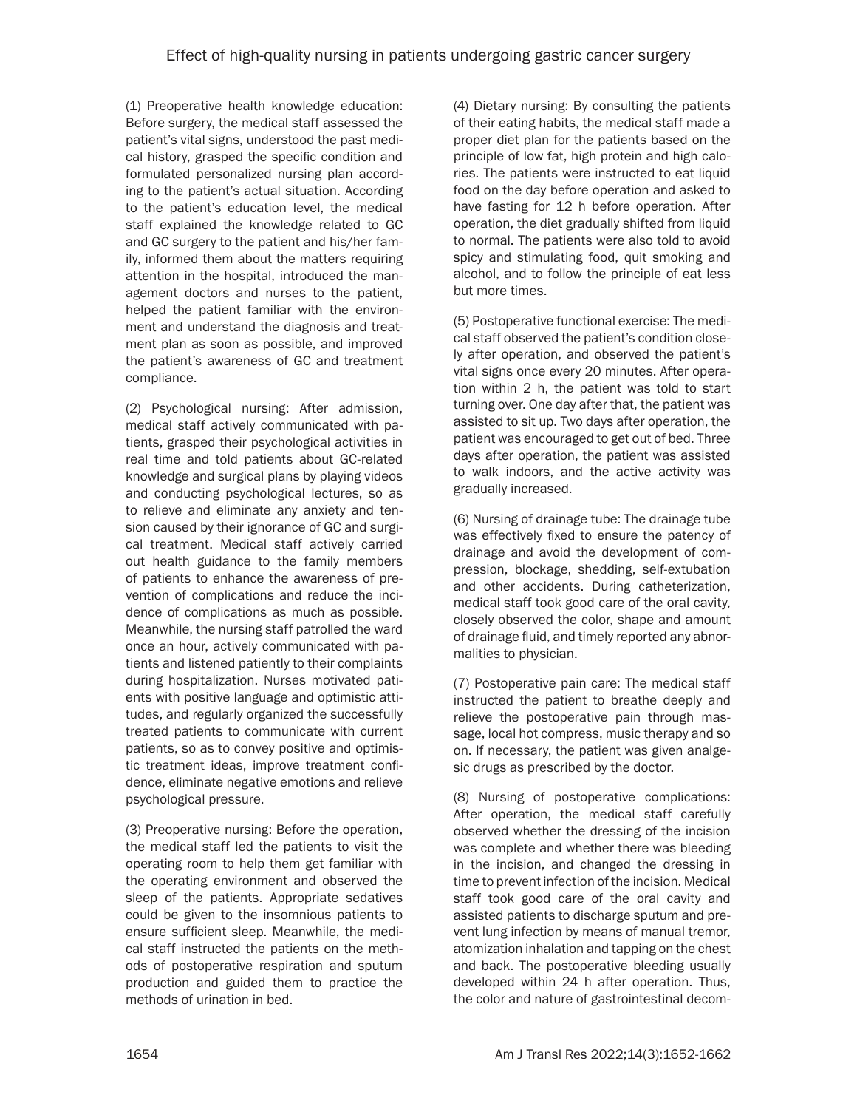(1) Preoperative health knowledge education: Before surgery, the medical staff assessed the patient's vital signs, understood the past medical history, grasped the specific condition and formulated personalized nursing plan according to the patient's actual situation. According to the patient's education level, the medical staff explained the knowledge related to GC and GC surgery to the patient and his/her family, informed them about the matters requiring attention in the hospital, introduced the management doctors and nurses to the patient, helped the patient familiar with the environment and understand the diagnosis and treatment plan as soon as possible, and improved the patient's awareness of GC and treatment compliance.

(2) Psychological nursing: After admission, medical staff actively communicated with patients, grasped their psychological activities in real time and told patients about GC-related knowledge and surgical plans by playing videos and conducting psychological lectures, so as to relieve and eliminate any anxiety and tension caused by their ignorance of GC and surgical treatment. Medical staff actively carried out health guidance to the family members of patients to enhance the awareness of prevention of complications and reduce the incidence of complications as much as possible. Meanwhile, the nursing staff patrolled the ward once an hour, actively communicated with patients and listened patiently to their complaints during hospitalization. Nurses motivated patients with positive language and optimistic attitudes, and regularly organized the successfully treated patients to communicate with current patients, so as to convey positive and optimistic treatment ideas, improve treatment confidence, eliminate negative emotions and relieve psychological pressure.

(3) Preoperative nursing: Before the operation, the medical staff led the patients to visit the operating room to help them get familiar with the operating environment and observed the sleep of the patients. Appropriate sedatives could be given to the insomnious patients to ensure sufficient sleep. Meanwhile, the medical staff instructed the patients on the methods of postoperative respiration and sputum production and guided them to practice the methods of urination in bed.

(4) Dietary nursing: By consulting the patients of their eating habits, the medical staff made a proper diet plan for the patients based on the principle of low fat, high protein and high calories. The patients were instructed to eat liquid food on the day before operation and asked to have fasting for 12 h before operation. After operation, the diet gradually shifted from liquid to normal. The patients were also told to avoid spicy and stimulating food, quit smoking and alcohol, and to follow the principle of eat less but more times.

(5) Postoperative functional exercise: The medical staff observed the patient's condition closely after operation, and observed the patient's vital signs once every 20 minutes. After operation within 2 h, the patient was told to start turning over. One day after that, the patient was assisted to sit up. Two days after operation, the patient was encouraged to get out of bed. Three days after operation, the patient was assisted to walk indoors, and the active activity was gradually increased.

(6) Nursing of drainage tube: The drainage tube was effectively fixed to ensure the patency of drainage and avoid the development of compression, blockage, shedding, self-extubation and other accidents. During catheterization, medical staff took good care of the oral cavity, closely observed the color, shape and amount of drainage fluid, and timely reported any abnormalities to physician.

(7) Postoperative pain care: The medical staff instructed the patient to breathe deeply and relieve the postoperative pain through massage, local hot compress, music therapy and so on. If necessary, the patient was given analgesic drugs as prescribed by the doctor.

(8) Nursing of postoperative complications: After operation, the medical staff carefully observed whether the dressing of the incision was complete and whether there was bleeding in the incision, and changed the dressing in time to prevent infection of the incision. Medical staff took good care of the oral cavity and assisted patients to discharge sputum and prevent lung infection by means of manual tremor, atomization inhalation and tapping on the chest and back. The postoperative bleeding usually developed within 24 h after operation. Thus, the color and nature of gastrointestinal decom-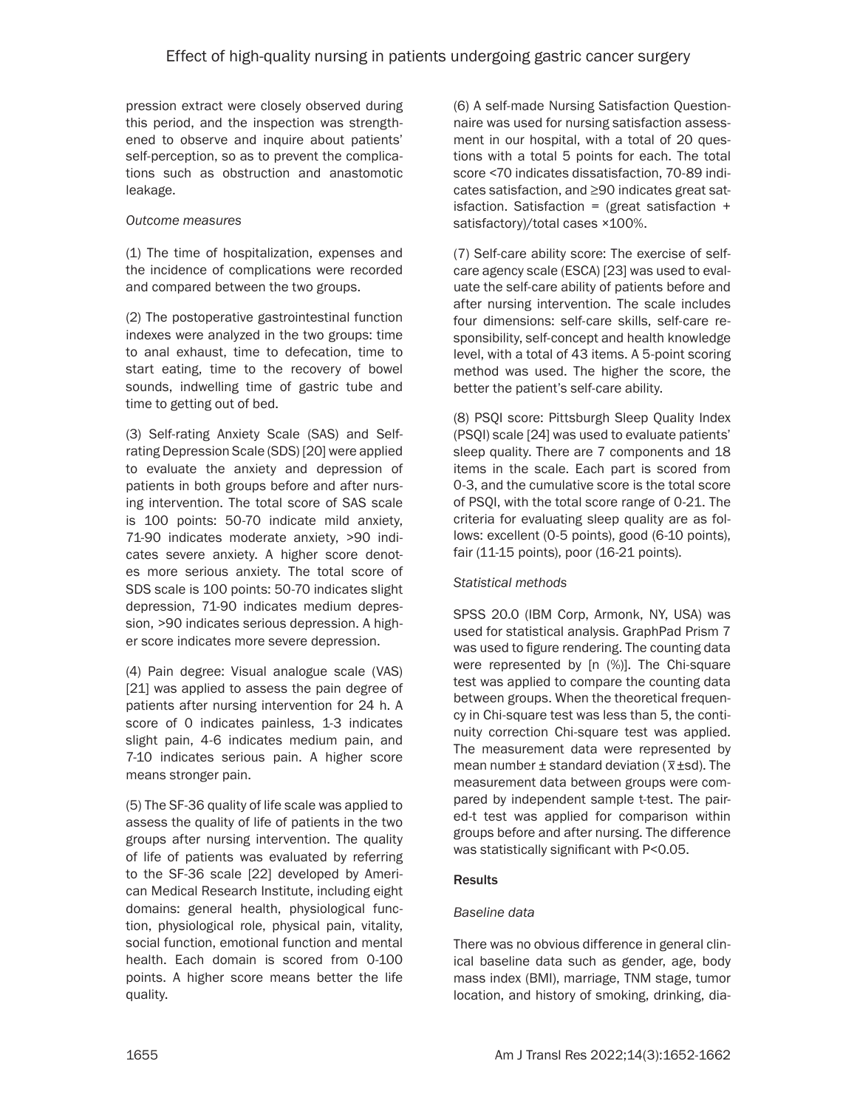pression extract were closely observed during this period, and the inspection was strengthened to observe and inquire about patients' self-perception, so as to prevent the complications such as obstruction and anastomotic leakage.

## *Outcome measures*

(1) The time of hospitalization, expenses and the incidence of complications were recorded and compared between the two groups.

(2) The postoperative gastrointestinal function indexes were analyzed in the two groups: time to anal exhaust, time to defecation, time to start eating, time to the recovery of bowel sounds, indwelling time of gastric tube and time to getting out of bed.

(3) Self-rating Anxiety Scale (SAS) and Selfrating Depression Scale (SDS) [20] were applied to evaluate the anxiety and depression of patients in both groups before and after nursing intervention. The total score of SAS scale is 100 points: 50-70 indicate mild anxiety, 71-90 indicates moderate anxiety, >90 indicates severe anxiety. A higher score denotes more serious anxiety. The total score of SDS scale is 100 points: 50-70 indicates slight depression, 71-90 indicates medium depression, >90 indicates serious depression. A higher score indicates more severe depression.

(4) Pain degree: Visual analogue scale (VAS) [21] was applied to assess the pain degree of patients after nursing intervention for 24 h. A score of 0 indicates painless, 1-3 indicates slight pain, 4-6 indicates medium pain, and 7-10 indicates serious pain. A higher score means stronger pain.

(5) The SF-36 quality of life scale was applied to assess the quality of life of patients in the two groups after nursing intervention. The quality of life of patients was evaluated by referring to the SF-36 scale [22] developed by American Medical Research Institute, including eight domains: general health, physiological function, physiological role, physical pain, vitality, social function, emotional function and mental health. Each domain is scored from 0-100 points. A higher score means better the life quality.

(6) A self-made Nursing Satisfaction Questionnaire was used for nursing satisfaction assessment in our hospital, with a total of 20 questions with a total 5 points for each. The total score <70 indicates dissatisfaction, 70-89 indicates satisfaction, and ≥90 indicates great satisfaction. Satisfaction = (great satisfaction  $+$ satisfactory)/total cases ×100%.

(7) Self-care ability score: The exercise of selfcare agency scale (ESCA) [23] was used to evaluate the self-care ability of patients before and after nursing intervention. The scale includes four dimensions: self-care skills, self-care responsibility, self-concept and health knowledge level, with a total of 43 items. A 5-point scoring method was used. The higher the score, the better the patient's self-care ability.

(8) PSQI score: Pittsburgh Sleep Quality Index (PSQI) scale [24] was used to evaluate patients' sleep quality. There are 7 components and 18 items in the scale. Each part is scored from 0-3, and the cumulative score is the total score of PSQI, with the total score range of 0-21. The criteria for evaluating sleep quality are as follows: excellent (0-5 points), good (6-10 points), fair (11-15 points), poor (16-21 points).

## *Statistical methods*

SPSS 20.0 (IBM Corp, Armonk, NY, USA) was used for statistical analysis. GraphPad Prism 7 was used to figure rendering. The counting data were represented by [n (%)]. The Chi-square test was applied to compare the counting data between groups. When the theoretical frequency in Chi-square test was less than 5, the continuity correction Chi-square test was applied. The measurement data were represented by mean number ± standard deviation (*\_ x*±sd). The measurement data between groups were compared by independent sample t-test. The paired-t test was applied for comparison within groups before and after nursing. The difference was statistically significant with P<0.05.

#### **Results**

## *Baseline data*

There was no obvious difference in general clinical baseline data such as gender, age, body mass index (BMI), marriage, TNM stage, tumor location, and history of smoking, drinking, dia-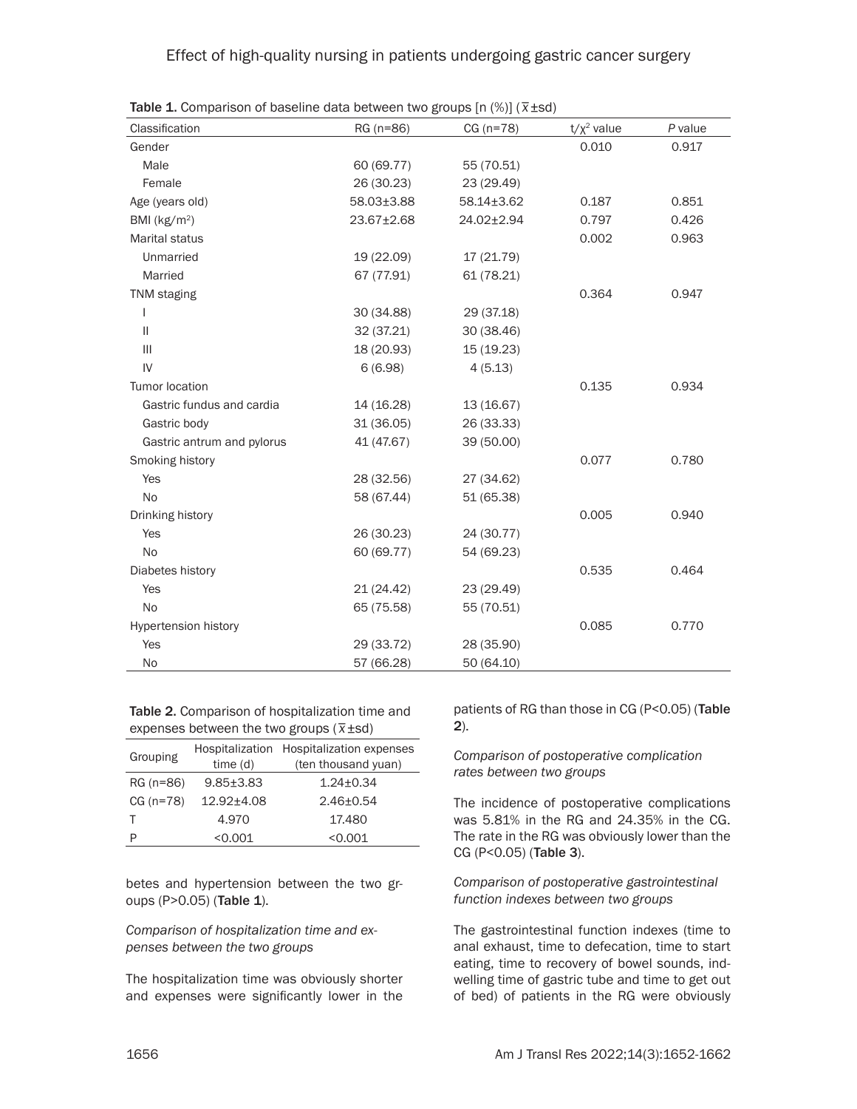| Classification              | RG (n=86)  | $CG (n=78)$ | $t/x^2$ value | P value |
|-----------------------------|------------|-------------|---------------|---------|
| Gender                      |            |             | 0.010         | 0.917   |
| Male                        | 60 (69.77) | 55 (70.51)  |               |         |
| Female                      | 26 (30.23) | 23 (29.49)  |               |         |
| Age (years old)             | 58.03±3.88 | 58.14±3.62  | 0.187         | 0.851   |
| BMI ( $kg/m2$ )             | 23.67±2.68 | 24.02±2.94  | 0.797         | 0.426   |
| <b>Marital status</b>       |            |             | 0.002         | 0.963   |
| Unmarried                   | 19 (22.09) | 17 (21.79)  |               |         |
| Married                     | 67 (77.91) | 61 (78.21)  |               |         |
| <b>TNM</b> staging          |            |             | 0.364         | 0.947   |
| $\mathbf{I}$                | 30 (34.88) | 29 (37.18)  |               |         |
| $\mathbf{H}$                | 32 (37.21) | 30 (38.46)  |               |         |
| $\mathbf{III}$              | 18 (20.93) | 15 (19.23)  |               |         |
| IV                          | 6(6.98)    | 4(5.13)     |               |         |
| <b>Tumor location</b>       |            |             | 0.135         | 0.934   |
| Gastric fundus and cardia   | 14 (16.28) | 13 (16.67)  |               |         |
| Gastric body                | 31 (36.05) | 26 (33.33)  |               |         |
| Gastric antrum and pylorus  | 41 (47.67) | 39 (50.00)  |               |         |
| Smoking history             |            |             | 0.077         | 0.780   |
| Yes                         | 28 (32.56) | 27 (34.62)  |               |         |
| <b>No</b>                   | 58 (67.44) | 51 (65.38)  |               |         |
| Drinking history            |            |             | 0.005         | 0.940   |
| Yes                         | 26 (30.23) | 24 (30.77)  |               |         |
| <b>No</b>                   | 60 (69.77) | 54 (69.23)  |               |         |
| Diabetes history            |            |             | 0.535         | 0.464   |
| Yes                         | 21(24.42)  | 23 (29.49)  |               |         |
| No                          | 65 (75.58) | 55 (70.51)  |               |         |
| <b>Hypertension history</b> |            |             | 0.085         | 0.770   |
| Yes                         | 29 (33.72) | 28 (35.90)  |               |         |
| <b>No</b>                   | 57 (66.28) | 50 (64.10)  |               |         |

Table 1. Comparison of baseline data between two groups [n (%)] (*\_ x*±sd)

Table 2. Comparison of hospitalization time and expenses between the two groups ( $\bar{x}$ ±sd)

| Grouping    | Hospitalization | Hospitalization expenses |  |  |
|-------------|-----------------|--------------------------|--|--|
|             | time(d)         | (ten thousand yuan)      |  |  |
| RG (n=86)   | $9.85 + 3.83$   | $1.24 \pm 0.34$          |  |  |
| $CG (n=78)$ | 12.92±4.08      | $2.46 \pm 0.54$          |  |  |
|             | 4.970           | 17.480                   |  |  |
|             | < 0.001         | < 0.001                  |  |  |

betes and hypertension between the two groups (P>0.05) (Table 1).

*Comparison of hospitalization time and expenses between the two groups*

The hospitalization time was obviously shorter and expenses were significantly lower in the

patients of RG than those in CG (P<0.05) (Table 2).

*Comparison of postoperative complication rates between two groups*

The incidence of postoperative complications was 5.81% in the RG and 24.35% in the CG. The rate in the RG was obviously lower than the CG (P<0.05) (Table 3).

*Comparison of postoperative gastrointestinal function indexes between two groups*

The gastrointestinal function indexes (time to anal exhaust, time to defecation, time to start eating, time to recovery of bowel sounds, indwelling time of gastric tube and time to get out of bed) of patients in the RG were obviously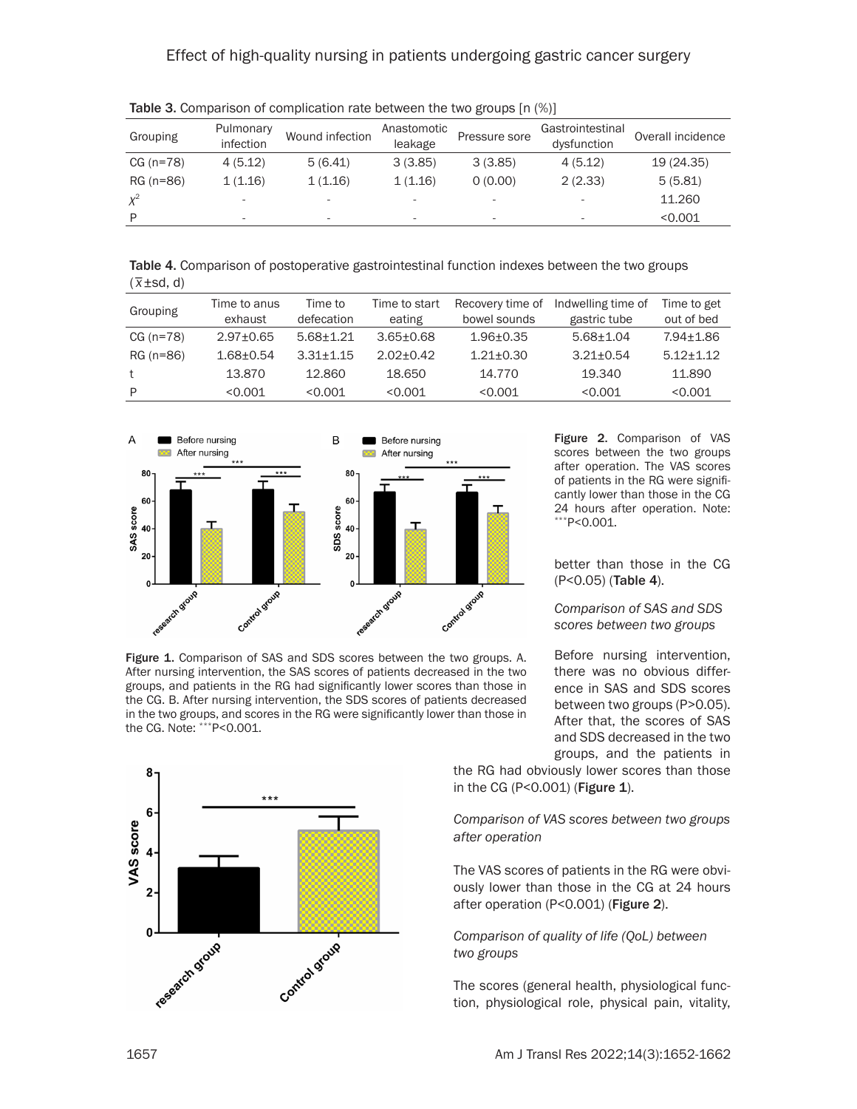## Effect of high-quality nursing in patients undergoing gastric cancer surgery

| Grouping    | Pulmonary<br>infection | Wound infection          | Anastomotic<br>leakage   | Pressure sore | Gastrointestinal<br>dysfunction | Overall incidence |
|-------------|------------------------|--------------------------|--------------------------|---------------|---------------------------------|-------------------|
| $CG (n=78)$ | 4(5.12)                | 5(6.41)                  | 3(3.85)                  | 3(3.85)       | 4(5.12)                         | 19 (24.35)        |
| RG (n=86)   | 1(1.16)                | 1(1.16)                  | 1(1.16)                  | 0(0.00)       | 2(2.33)                         | 5(5.81)           |
| $\chi^2$    | ۰                      |                          | $\sim$                   | ۰             | ۰                               | 11.260            |
| D           |                        | $\overline{\phantom{a}}$ | $\overline{\phantom{a}}$ | ۰             | ۰                               | < 0.001           |

Table 3. Comparison of complication rate between the two groups [n (%)]

Table 4. Comparison of postoperative gastrointestinal function indexes between the two groups *\_* ( *x*±sd, d)

| Grouping    | Time to anus    | Time to       | Time to start   | Recovery time of | Indwelling time of | Time to get   |
|-------------|-----------------|---------------|-----------------|------------------|--------------------|---------------|
|             | exhaust         | defecation    | eating          | bowel sounds     | gastric tube       | out of bed    |
| $CG (n=78)$ | $2.97 \pm 0.65$ | $5.68 + 1.21$ | $3.65 \pm 0.68$ | $1.96 + 0.35$    | $5.68 + 1.04$      | $7.94 + 1.86$ |
| RG (n=86)   | $1.68 + 0.54$   | $3.31 + 1.15$ | $2.02 + 0.42$   | $1.21 + 0.30$    | $3.21 + 0.54$      | $5.12 + 1.12$ |
| t           | 13.870          | 12.860        | 18.650          | 14.770           | 19.340             | 11.890        |
| P           | < 0.001         | < 0.001       | < 0.001         | < 0.001          | < 0.001            | < 0.001       |



Figure 1. Comparison of SAS and SDS scores between the two groups. A. After nursing intervention, the SAS scores of patients decreased in the two groups, and patients in the RG had significantly lower scores than those in the CG. B. After nursing intervention, the SDS scores of patients decreased in the two groups, and scores in the RG were significantly lower than those in the CG. Note: \*\*\*P<0.001.



Figure 2. Comparison of VAS scores between the two groups after operation. The VAS scores of patients in the RG were significantly lower than those in the CG 24 hours after operation. Note: \*\*\*P<0.001.

better than those in the CG (P<0.05) (Table 4).

*Comparison of SAS and SDS scores between two groups*

Before nursing intervention, there was no obvious difference in SAS and SDS scores between two groups (P>0.05). After that, the scores of SAS and SDS decreased in the two groups, and the patients in

the RG had obviously lower scores than those in the CG (P<0.001) (Figure 1).

*Comparison of VAS scores between two groups after operation*

The VAS scores of patients in the RG were obviously lower than those in the CG at 24 hours after operation (P<0.001) (Figure 2).

*Comparison of quality of life (QoL) between two groups*

The scores (general health, physiological function, physiological role, physical pain, vitality,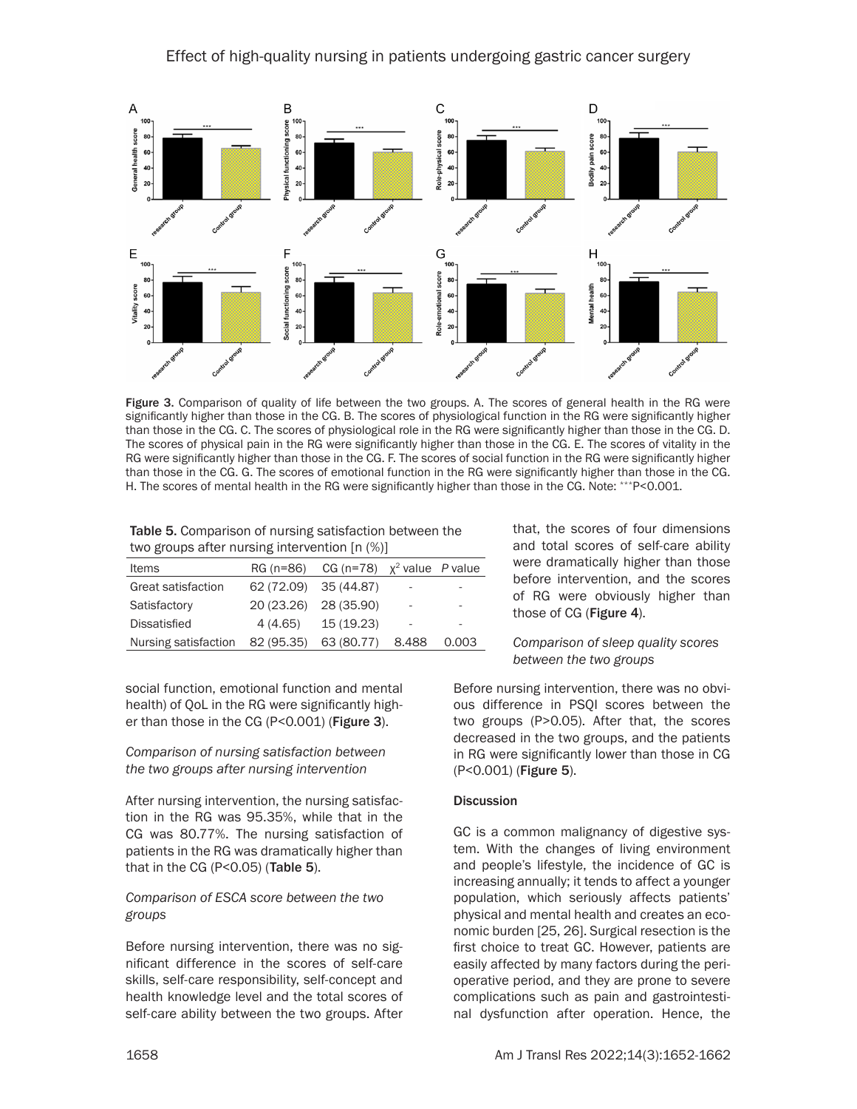

Figure 3. Comparison of quality of life between the two groups. A. The scores of general health in the RG were significantly higher than those in the CG. B. The scores of physiological function in the RG were significantly higher than those in the CG. C. The scores of physiological role in the RG were significantly higher than those in the CG. D. The scores of physical pain in the RG were significantly higher than those in the CG. E. The scores of vitality in the RG were significantly higher than those in the CG. F. The scores of social function in the RG were significantly higher than those in the CG. G. The scores of emotional function in the RG were significantly higher than those in the CG. H. The scores of mental health in the RG were significantly higher than those in the CG. Note: \*\*\*P<0.001.

| Table 5. Comparison of nursing satisfaction between the |
|---------------------------------------------------------|
| two groups after nursing intervention [n (%)]           |

| <b>Items</b>         |                       | RG (n=86) CG (n=78) $x^2$ value P value |       |       |
|----------------------|-----------------------|-----------------------------------------|-------|-------|
| Great satisfaction   | 62 (72.09) 35 (44.87) |                                         | -     |       |
| Satisfactory         | 20 (23.26) 28 (35.90) |                                         | ۰     | -     |
| <b>Dissatisfied</b>  | 4 (4.65)              | 15 (19.23)                              | ۰     |       |
| Nursing satisfaction | 82 (95.35)            | 63 (80.77)                              | 8.488 | 0.003 |

social function, emotional function and mental health) of QoL in the RG were significantly higher than those in the CG (P<0.001) (Figure 3).

## *Comparison of nursing satisfaction between the two groups after nursing intervention*

After nursing intervention, the nursing satisfaction in the RG was 95.35%, while that in the CG was 80.77%. The nursing satisfaction of patients in the RG was dramatically higher than that in the CG ( $P < 0.05$ ) (Table 5).

## *Comparison of ESCA score between the two groups*

Before nursing intervention, there was no significant difference in the scores of self-care skills, self-care responsibility, self-concept and health knowledge level and the total scores of self-care ability between the two groups. After that, the scores of four dimensions and total scores of self-care ability were dramatically higher than those before intervention, and the scores of RG were obviously higher than those of CG (Figure 4).

#### *Comparison of sleep quality scores between the two groups*

Before nursing intervention, there was no obvious difference in PSQI scores between the two groups (P>0.05). After that, the scores decreased in the two groups, and the patients in RG were significantly lower than those in CG (P<0.001) (Figure 5).

## **Discussion**

GC is a common malignancy of digestive system. With the changes of living environment and people's lifestyle, the incidence of GC is increasing annually; it tends to affect a younger population, which seriously affects patients' physical and mental health and creates an economic burden [25, 26]. Surgical resection is the first choice to treat GC. However, patients are easily affected by many factors during the perioperative period, and they are prone to severe complications such as pain and gastrointestinal dysfunction after operation. Hence, the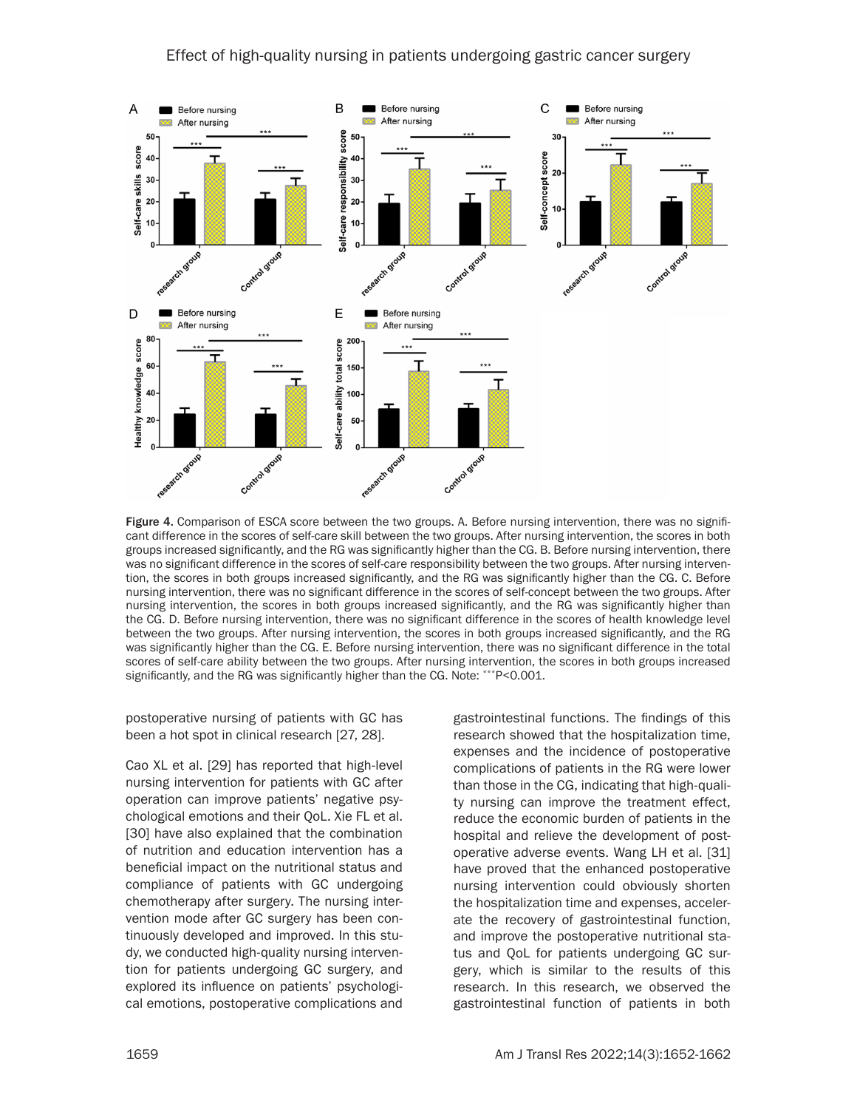

Figure 4. Comparison of ESCA score between the two groups. A. Before nursing intervention, there was no significant difference in the scores of self-care skill between the two groups. After nursing intervention, the scores in both groups increased significantly, and the RG was significantly higher than the CG. B. Before nursing intervention, there was no significant difference in the scores of self-care responsibility between the two groups. After nursing intervention, the scores in both groups increased significantly, and the RG was significantly higher than the CG. C. Before nursing intervention, there was no significant difference in the scores of self-concept between the two groups. After nursing intervention, the scores in both groups increased significantly, and the RG was significantly higher than the CG. D. Before nursing intervention, there was no significant difference in the scores of health knowledge level between the two groups. After nursing intervention, the scores in both groups increased significantly, and the RG was significantly higher than the CG. E. Before nursing intervention, there was no significant difference in the total scores of self-care ability between the two groups. After nursing intervention, the scores in both groups increased significantly, and the RG was significantly higher than the CG. Note: \*\*\*P<0.001.

postoperative nursing of patients with GC has been a hot spot in clinical research [27, 28].

Cao XL et al. [29] has reported that high-level nursing intervention for patients with GC after operation can improve patients' negative psychological emotions and their QoL. Xie FL et al. [30] have also explained that the combination of nutrition and education intervention has a beneficial impact on the nutritional status and compliance of patients with GC undergoing chemotherapy after surgery. The nursing intervention mode after GC surgery has been continuously developed and improved. In this study, we conducted high-quality nursing intervention for patients undergoing GC surgery, and explored its influence on patients' psychological emotions, postoperative complications and gastrointestinal functions. The findings of this research showed that the hospitalization time, expenses and the incidence of postoperative complications of patients in the RG were lower than those in the CG, indicating that high-quality nursing can improve the treatment effect, reduce the economic burden of patients in the hospital and relieve the development of postoperative adverse events. Wang LH et al. [31] have proved that the enhanced postoperative nursing intervention could obviously shorten the hospitalization time and expenses, accelerate the recovery of gastrointestinal function, and improve the postoperative nutritional status and QoL for patients undergoing GC surgery, which is similar to the results of this research. In this research, we observed the gastrointestinal function of patients in both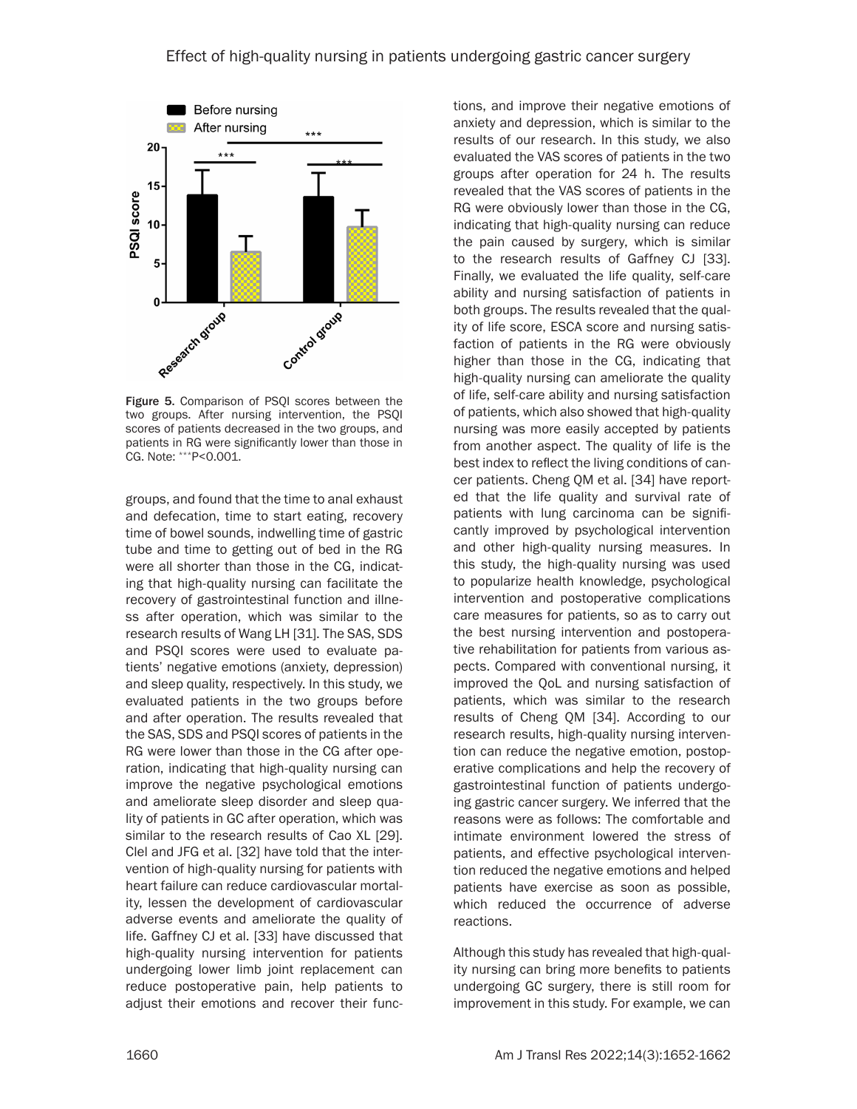

Figure 5. Comparison of PSQI scores between the two groups. After nursing intervention, the PSQI scores of patients decreased in the two groups, and patients in RG were significantly lower than those in CG. Note: \*\*\*P<0.001.

groups, and found that the time to anal exhaust and defecation, time to start eating, recovery time of bowel sounds, indwelling time of gastric tube and time to getting out of bed in the RG were all shorter than those in the CG, indicating that high-quality nursing can facilitate the recovery of gastrointestinal function and illness after operation, which was similar to the research results of Wang LH [31]. The SAS, SDS and PSQI scores were used to evaluate patients' negative emotions (anxiety, depression) and sleep quality, respectively. In this study, we evaluated patients in the two groups before and after operation. The results revealed that the SAS, SDS and PSQI scores of patients in the RG were lower than those in the CG after operation, indicating that high-quality nursing can improve the negative psychological emotions and ameliorate sleep disorder and sleep quality of patients in GC after operation, which was similar to the research results of Cao XL [29]. Clel and JFG et al. [32] have told that the intervention of high-quality nursing for patients with heart failure can reduce cardiovascular mortality, lessen the development of cardiovascular adverse events and ameliorate the quality of life. Gaffney CJ et al. [33] have discussed that high-quality nursing intervention for patients undergoing lower limb joint replacement can reduce postoperative pain, help patients to adjust their emotions and recover their func-

tions, and improve their negative emotions of anxiety and depression, which is similar to the results of our research. In this study, we also evaluated the VAS scores of patients in the two groups after operation for 24 h. The results revealed that the VAS scores of patients in the RG were obviously lower than those in the CG, indicating that high-quality nursing can reduce the pain caused by surgery, which is similar to the research results of Gaffney CJ [33]. Finally, we evaluated the life quality, self-care ability and nursing satisfaction of patients in both groups. The results revealed that the quality of life score, ESCA score and nursing satisfaction of patients in the RG were obviously higher than those in the CG, indicating that high-quality nursing can ameliorate the quality of life, self-care ability and nursing satisfaction of patients, which also showed that high-quality nursing was more easily accepted by patients from another aspect. The quality of life is the best index to reflect the living conditions of cancer patients. Cheng QM et al. [34] have reported that the life quality and survival rate of patients with lung carcinoma can be significantly improved by psychological intervention and other high-quality nursing measures. In this study, the high-quality nursing was used to popularize health knowledge, psychological intervention and postoperative complications care measures for patients, so as to carry out the best nursing intervention and postoperative rehabilitation for patients from various aspects. Compared with conventional nursing, it improved the QoL and nursing satisfaction of patients, which was similar to the research results of Cheng QM [34]. According to our research results, high-quality nursing intervention can reduce the negative emotion, postoperative complications and help the recovery of gastrointestinal function of patients undergoing gastric cancer surgery. We inferred that the reasons were as follows: The comfortable and intimate environment lowered the stress of patients, and effective psychological intervention reduced the negative emotions and helped patients have exercise as soon as possible, which reduced the occurrence of adverse reactions.

Although this study has revealed that high-quality nursing can bring more benefits to patients undergoing GC surgery, there is still room for improvement in this study. For example, we can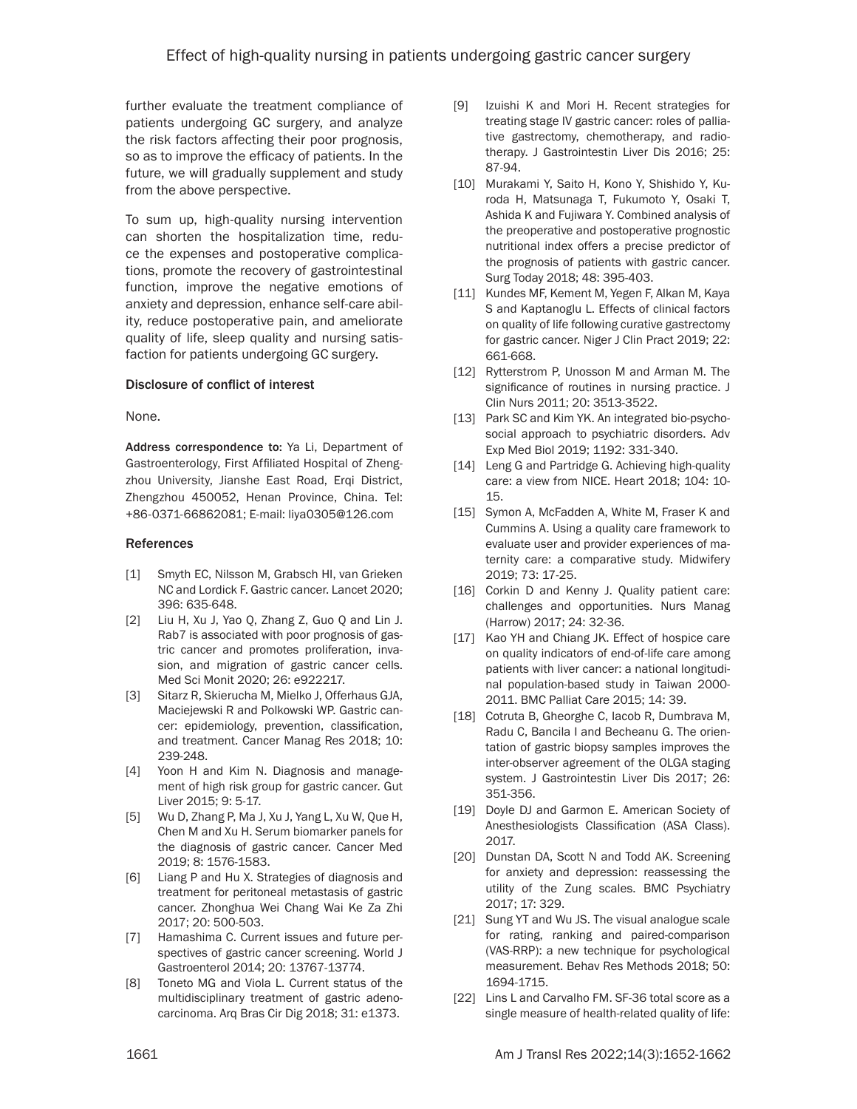further evaluate the treatment compliance of patients undergoing GC surgery, and analyze the risk factors affecting their poor prognosis, so as to improve the efficacy of patients. In the future, we will gradually supplement and study from the above perspective.

To sum up, high-quality nursing intervention can shorten the hospitalization time, reduce the expenses and postoperative complications, promote the recovery of gastrointestinal function, improve the negative emotions of anxiety and depression, enhance self-care ability, reduce postoperative pain, and ameliorate quality of life, sleep quality and nursing satisfaction for patients undergoing GC surgery.

## Disclosure of conflict of interest

None.

Address correspondence to: Ya Li, Department of Gastroenterology, First Affiliated Hospital of Zhengzhou University, Jianshe East Road, Erqi District, Zhengzhou 450052, Henan Province, China. Tel: +86-0371-66862081; E-mail: liya0305@126.com

#### References

- [1] Smyth EC, Nilsson M, Grabsch HI, van Grieken NC and Lordick F. Gastric cancer. Lancet 2020; 396: 635-648.
- [2] Liu H, Xu J, Yao Q, Zhang Z, Guo Q and Lin J. Rab7 is associated with poor prognosis of gastric cancer and promotes proliferation, invasion, and migration of gastric cancer cells. Med Sci Monit 2020; 26: e922217.
- [3] Sitarz R, Skierucha M, Mielko J, Offerhaus GJA, Maciejewski R and Polkowski WP. Gastric cancer: epidemiology, prevention, classification, and treatment. Cancer Manag Res 2018; 10: 239-248.
- [4] Yoon H and Kim N. Diagnosis and management of high risk group for gastric cancer. Gut Liver 2015; 9: 5-17.
- [5] Wu D, Zhang P, Ma J, Xu J, Yang L, Xu W, Que H, Chen M and Xu H. Serum biomarker panels for the diagnosis of gastric cancer. Cancer Med 2019; 8: 1576-1583.
- [6] Liang P and Hu X. Strategies of diagnosis and treatment for peritoneal metastasis of gastric cancer. Zhonghua Wei Chang Wai Ke Za Zhi 2017; 20: 500-503.
- [7] Hamashima C. Current issues and future perspectives of gastric cancer screening. World J Gastroenterol 2014; 20: 13767-13774.
- [8] Toneto MG and Viola L. Current status of the multidisciplinary treatment of gastric adenocarcinoma. Arq Bras Cir Dig 2018; 31: e1373.
- [9] Izuishi K and Mori H. Recent strategies for treating stage IV gastric cancer: roles of palliative gastrectomy, chemotherapy, and radiotherapy. J Gastrointestin Liver Dis 2016; 25: 87-94.
- [10] Murakami Y, Saito H, Kono Y, Shishido Y, Kuroda H, Matsunaga T, Fukumoto Y, Osaki T, Ashida K and Fujiwara Y. Combined analysis of the preoperative and postoperative prognostic nutritional index offers a precise predictor of the prognosis of patients with gastric cancer. Surg Today 2018; 48: 395-403.
- [11] Kundes MF, Kement M, Yegen F, Alkan M, Kaya S and Kaptanoglu L. Effects of clinical factors on quality of life following curative gastrectomy for gastric cancer. Niger J Clin Pract 2019; 22: 661-668.
- [12] Rytterstrom P, Unosson M and Arman M. The significance of routines in nursing practice. J Clin Nurs 2011; 20: 3513-3522.
- [13] Park SC and Kim YK. An integrated bio-psychosocial approach to psychiatric disorders. Adv Exp Med Biol 2019; 1192: 331-340.
- [14] Leng G and Partridge G. Achieving high-quality care: a view from NICE. Heart 2018; 104: 10- 15.
- [15] Symon A, McFadden A, White M, Fraser K and Cummins A. Using a quality care framework to evaluate user and provider experiences of maternity care: a comparative study. Midwifery 2019; 73: 17-25.
- [16] Corkin D and Kenny J. Quality patient care: challenges and opportunities. Nurs Manag (Harrow) 2017; 24: 32-36.
- [17] Kao YH and Chiang JK. Effect of hospice care on quality indicators of end-of-life care among patients with liver cancer: a national longitudinal population-based study in Taiwan 2000- 2011. BMC Palliat Care 2015; 14: 39.
- [18] Cotruta B, Gheorghe C, Iacob R, Dumbrava M, Radu C, Bancila I and Becheanu G. The orientation of gastric biopsy samples improves the inter-observer agreement of the OLGA staging system. J Gastrointestin Liver Dis 2017; 26: 351-356.
- [19] Doyle DJ and Garmon E. American Society of Anesthesiologists Classification (ASA Class). 2017.
- [20] Dunstan DA, Scott N and Todd AK. Screening for anxiety and depression: reassessing the utility of the Zung scales. BMC Psychiatry 2017; 17: 329.
- [21] Sung YT and Wu JS. The visual analogue scale for rating, ranking and paired-comparison (VAS-RRP): a new technique for psychological measurement. Behav Res Methods 2018; 50: 1694-1715.
- [22] Lins L and Carvalho FM. SF-36 total score as a single measure of health-related quality of life: